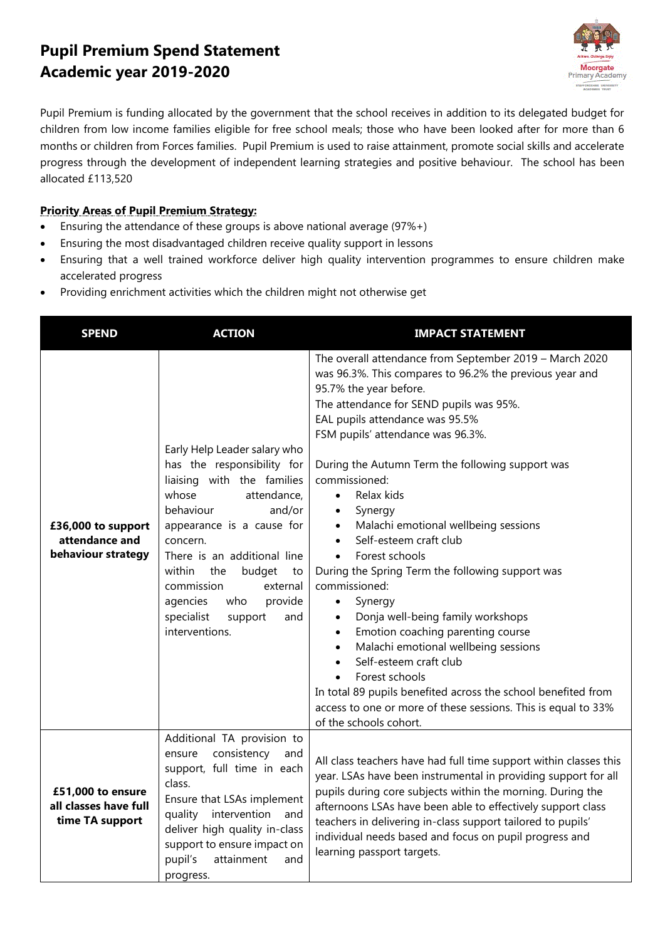## **Pupil Premium Spend Statement Academic year 2019-2020**



Pupil Premium is funding allocated by the government that the school receives in addition to its delegated budget for children from low income families eligible for free school meals; those who have been looked after for more than 6 months or children from Forces families. Pupil Premium is used to raise attainment, promote social skills and accelerate progress through the development of independent learning strategies and positive behaviour. The school has been allocated £113,520

## **Priority Areas of Pupil Premium Strategy:**

- **Ensuring the attendance of these groups is above national average (97%+)**
- Ensuring the most disadvantaged children receive quality support in lessons
- Ensuring that a well trained workforce deliver high quality intervention programmes to ensure children make accelerated progress
- Providing enrichment activities which the children might not otherwise get

| <b>SPEND</b>                                                  | <b>ACTION</b>                                                                                                                                                                                                                                                                                                                                              | <b>IMPACT STATEMENT</b>                                                                                                                                                                                                                                                                                                                                                                                                                                                                                                                                                                                                                                                                                                                                                                                                                                                                                         |
|---------------------------------------------------------------|------------------------------------------------------------------------------------------------------------------------------------------------------------------------------------------------------------------------------------------------------------------------------------------------------------------------------------------------------------|-----------------------------------------------------------------------------------------------------------------------------------------------------------------------------------------------------------------------------------------------------------------------------------------------------------------------------------------------------------------------------------------------------------------------------------------------------------------------------------------------------------------------------------------------------------------------------------------------------------------------------------------------------------------------------------------------------------------------------------------------------------------------------------------------------------------------------------------------------------------------------------------------------------------|
| £36,000 to support<br>attendance and<br>behaviour strategy    | Early Help Leader salary who<br>has the responsibility for<br>liaising with the families<br>whose<br>attendance,<br>behaviour<br>and/or<br>appearance is a cause for<br>concern.<br>There is an additional line<br>within<br>the<br>budget<br>to<br>commission<br>external<br>who<br>provide<br>agencies<br>specialist<br>support<br>and<br>interventions. | The overall attendance from September 2019 - March 2020<br>was 96.3%. This compares to 96.2% the previous year and<br>95.7% the year before.<br>The attendance for SEND pupils was 95%.<br>EAL pupils attendance was 95.5%<br>FSM pupils' attendance was 96.3%.<br>During the Autumn Term the following support was<br>commissioned:<br>Relax kids<br>$\bullet$<br>Synergy<br>Malachi emotional wellbeing sessions<br>Self-esteem craft club<br>Forest schools<br>$\bullet$<br>During the Spring Term the following support was<br>commissioned:<br>Synergy<br>$\bullet$<br>Donja well-being family workshops<br>Emotion coaching parenting course<br>$\bullet$<br>Malachi emotional wellbeing sessions<br>Self-esteem craft club<br>Forest schools<br>In total 89 pupils benefited across the school benefited from<br>access to one or more of these sessions. This is equal to 33%<br>of the schools cohort. |
| £51,000 to ensure<br>all classes have full<br>time TA support | Additional TA provision to<br>consistency<br>ensure<br>and<br>support, full time in each<br>class.<br>Ensure that LSAs implement<br>intervention<br>quality<br>and<br>deliver high quality in-class<br>support to ensure impact on<br>pupil's<br>attainment<br>and<br>progress.                                                                            | All class teachers have had full time support within classes this<br>year. LSAs have been instrumental in providing support for all<br>pupils during core subjects within the morning. During the<br>afternoons LSAs have been able to effectively support class<br>teachers in delivering in-class support tailored to pupils'<br>individual needs based and focus on pupil progress and<br>learning passport targets.                                                                                                                                                                                                                                                                                                                                                                                                                                                                                         |